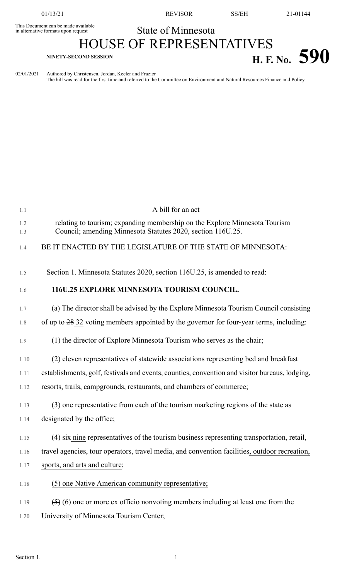This Document can be made available<br>in alternative formats upon request

01/13/21 REVISOR SS/EH 21-01144

## State of Minnesota

## HOUSE OF REPRESENTATIVES **H. F. No.** 590

02/01/2021 Authored by Christensen, Jordan, Keeler and Frazier The bill was read for the first time and referred to the Committee on Environment and Natural Resources Finance and Policy

| 1.1        | A bill for an act                                                                                                                         |
|------------|-------------------------------------------------------------------------------------------------------------------------------------------|
| 1.2<br>1.3 | relating to tourism; expanding membership on the Explore Minnesota Tourism<br>Council; amending Minnesota Statutes 2020, section 116U.25. |
| 1.4        | BE IT ENACTED BY THE LEGISLATURE OF THE STATE OF MINNESOTA:                                                                               |
| 1.5        | Section 1. Minnesota Statutes 2020, section 116U.25, is amended to read:                                                                  |
| 1.6        | 116U.25 EXPLORE MINNESOTA TOURISM COUNCIL.                                                                                                |
| 1.7        | (a) The director shall be advised by the Explore Minnesota Tourism Council consisting                                                     |
| 1.8        | of up to 28 32 voting members appointed by the governor for four-year terms, including:                                                   |
| 1.9        | (1) the director of Explore Minnesota Tourism who serves as the chair;                                                                    |
| 1.10       | (2) eleven representatives of statewide associations representing bed and breakfast                                                       |
| 1.11       | establishments, golf, festivals and events, counties, convention and visitor bureaus, lodging,                                            |
| 1.12       | resorts, trails, campgrounds, restaurants, and chambers of commerce;                                                                      |
| 1.13       | (3) one representative from each of the tourism marketing regions of the state as                                                         |
| 1.14       | designated by the office;                                                                                                                 |
| 1.15       | $(4)$ six nine representatives of the tourism business representing transportation, retail,                                               |
| 1.16       | travel agencies, tour operators, travel media, and convention facilities, outdoor recreation,                                             |
| 1.17       | sports, and arts and culture;                                                                                                             |
| 1.18       | (5) one Native American community representative;                                                                                         |
| 1.19       | $(5)$ (6) one or more ex officio nonvoting members including at least one from the                                                        |
| 1.20       | University of Minnesota Tourism Center;                                                                                                   |
|            |                                                                                                                                           |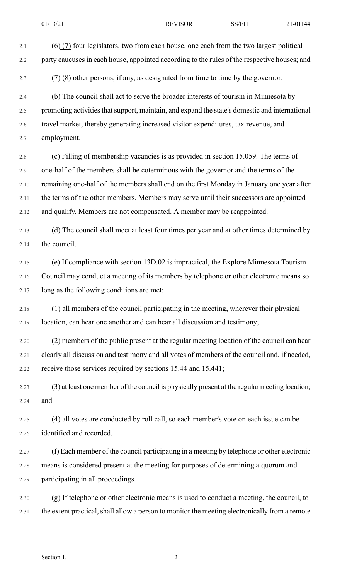2.1  $(6)$  (7) four legislators, two from each house, one each from the two largest political 2.2 party caucuses in each house, appointed according to the rules of the respective houses; and 2.3  $(7)(8)$  other persons, if any, as designated from time to time by the governor. 2.4 (b) The council shall act to serve the broader interests of tourism in Minnesota by 2.5 promoting activities that support, maintain, and expand the state's domestic and international 2.6 travel market, thereby generating increased visitor expenditures, tax revenue, and 2.7 employment. 2.8 (c) Filling of membership vacancies is as provided in section 15.059. The terms of 2.9 one-half of the members shall be coterminous with the governor and the terms of the 2.10 remaining one-half of the members shall end on the first Monday in January one year after 2.11 the terms of the other members. Members may serve until their successors are appointed 2.12 and qualify. Members are not compensated. A member may be reappointed. 2.13 (d) The council shall meet at least four times per year and at other times determined by 2.14 the council. 2.15 (e) If compliance with section 13D.02 is impractical, the Explore Minnesota Tourism 2.16 Council may conduct a meeting of its members by telephone or other electronic means so 2.17 long as the following conditions are met: 2.18 (1) all members of the council participating in the meeting, wherever their physical 2.19 location, can hear one another and can hear all discussion and testimony; 2.20 (2) members of the public present at the regular meeting location of the council can hear 2.21 clearly all discussion and testimony and all votes of members of the council and, if needed, 2.22 receive those services required by sections 15.44 and 15.441; 2.23 (3) at least one member of the council is physically present at the regular meeting location; 2.24 and 2.25 (4) all votes are conducted by roll call, so each member's vote on each issue can be 2.26 identified and recorded. 2.27 (f) Each member of the council participating in a meeting by telephone or other electronic 2.28 means is considered present at the meeting for purposes of determining a quorum and 2.29 participating in all proceedings. 2.30 (g) If telephone or other electronic means is used to conduct a meeting, the council, to

2.31 the extent practical, shall allow a person to monitor the meeting electronically from a remote